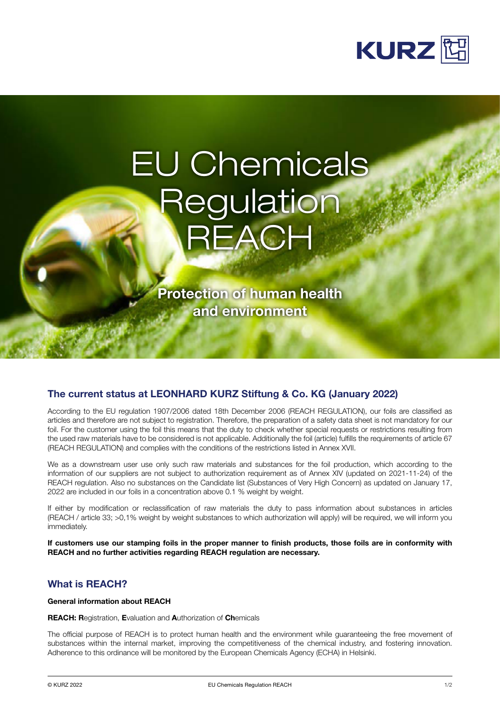

# EU Chemicals **Regulation REACH**

Protection of human health and environment

## The current status at LEONHARD KURZ Stiftung & Co. KG (January 2022)

According to the EU regulation 1907/2006 dated 18th December 2006 (REACH REGULATION), our foils are classified as articles and therefore are not subject to registration. Therefore, the preparation of a safety data sheet is not mandatory for our foil. For the customer using the foil this means that the duty to check whether special requests or restrictions resulting from the used raw materials have to be considered is not applicable. Additionally the foil (article) fulfills the requirements of article 67 (REACH REGULATION) and complies with the conditions of the restrictions listed in Annex XVII.

We as a downstream user use only such raw materials and substances for the foil production, which according to the information of our suppliers are not subject to authorization requirement as of Annex XIV (updated on 2021-11-24) of the REACH regulation. Also no substances on the Candidate list (Substances of Very High Concern) as updated on January 17, 2022 are included in our foils in a concentration above 0.1 % weight by weight.

If either by modification or reclassification of raw materials the duty to pass information about substances in articles (REACH / article 33; >0,1% weight by weight substances to which authorization will apply) will be required, we will inform you immediately.

If customers use our stamping foils in the proper manner to finish products, those foils are in conformity with REACH and no further activities regarding REACH regulation are necessary.

## What is REACH?

#### General information about REACH

REACH: Registration, Evaluation and Authorization of Chemicals

The official purpose of REACH is to protect human health and the environment while guaranteeing the free movement of substances within the internal market, improving the competitiveness of the chemical industry, and fostering innovation. Adherence to this ordinance will be monitored by the European Chemicals Agency (ECHA) in Helsinki.